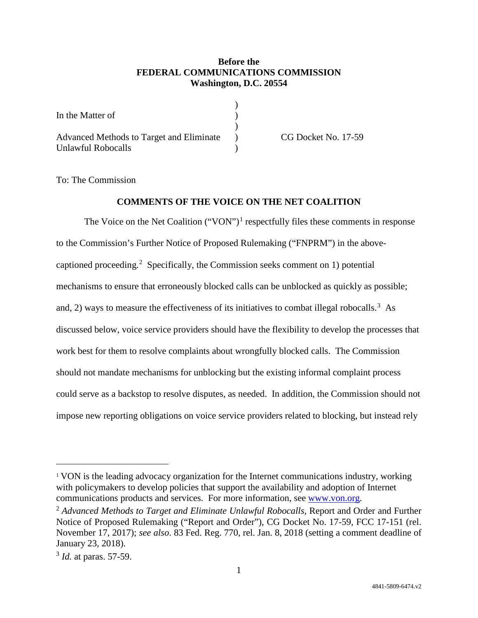## **Before the FEDERAL COMMUNICATIONS COMMISSION Washington, D.C. 20554**

| In the Matter of                         |  |
|------------------------------------------|--|
|                                          |  |
| Advanced Methods to Target and Eliminate |  |
| Unlawful Robocalls                       |  |

CG Docket No. 17-59

To: The Commission

## **COMMENTS OF THE VOICE ON THE NET COALITION**

The Voice on the Net Coalition  $("VON")^1$  respectfully files these comments in response to the Commission's Further Notice of Proposed Rulemaking ("FNPRM") in the abovecaptioned proceeding. 2 Specifically, the Commission seeks comment on 1) potential mechanisms to ensure that erroneously blocked calls can be unblocked as quickly as possible; and, 2) ways to measure the effectiveness of its initiatives to combat illegal robocalls.<sup>3</sup> As discussed below, voice service providers should have the flexibility to develop the processes that work best for them to resolve complaints about wrongfully blocked calls. The Commission should not mandate mechanisms for unblocking but the existing informal complaint process could serve as a backstop to resolve disputes, as needed. In addition, the Commission should not impose new reporting obligations on voice service providers related to blocking, but instead rely

 $\overline{a}$ 

<sup>&</sup>lt;sup>1</sup> VON is the leading advocacy organization for the Internet communications industry, working with policymakers to develop policies that support the availability and adoption of Internet communications products and services. For more information, see www.von.org.

<sup>2</sup> *Advanced Methods to Target and Eliminate Unlawful Robocalls,* Report and Order and Further Notice of Proposed Rulemaking ("Report and Order"), CG Docket No. 17-59, FCC 17-151 (rel. November 17, 2017); *see also*. 83 Fed. Reg. 770, rel. Jan. 8, 2018 (setting a comment deadline of January 23, 2018).

<sup>3</sup> *Id.* at paras. 57-59.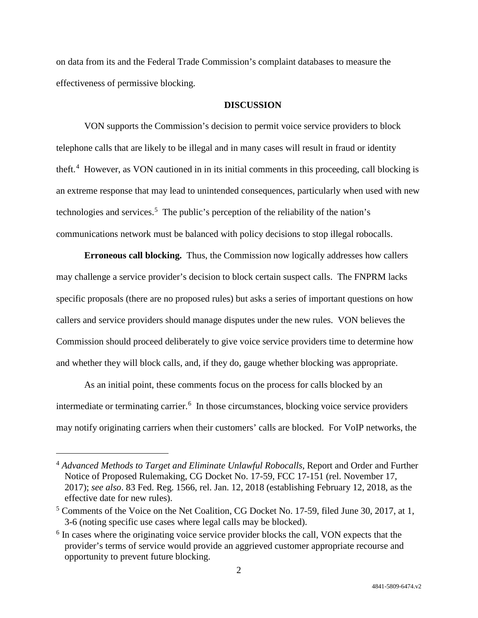on data from its and the Federal Trade Commission's complaint databases to measure the effectiveness of permissive blocking.

#### **DISCUSSION**

VON supports the Commission's decision to permit voice service providers to block telephone calls that are likely to be illegal and in many cases will result in fraud or identity theft.<sup>4</sup> However, as VON cautioned in in its initial comments in this proceeding, call blocking is an extreme response that may lead to unintended consequences, particularly when used with new technologies and services.<sup>5</sup> The public's perception of the reliability of the nation's communications network must be balanced with policy decisions to stop illegal robocalls.

**Erroneous call blocking.** Thus, the Commission now logically addresses how callers may challenge a service provider's decision to block certain suspect calls. The FNPRM lacks specific proposals (there are no proposed rules) but asks a series of important questions on how callers and service providers should manage disputes under the new rules. VON believes the Commission should proceed deliberately to give voice service providers time to determine how and whether they will block calls, and, if they do, gauge whether blocking was appropriate.

As an initial point, these comments focus on the process for calls blocked by an intermediate or terminating carrier.<sup>6</sup> In those circumstances, blocking voice service providers may notify originating carriers when their customers' calls are blocked. For VoIP networks, the

 $\overline{a}$ 

<sup>4</sup> *Advanced Methods to Target and Eliminate Unlawful Robocalls,* Report and Order and Further Notice of Proposed Rulemaking, CG Docket No. 17-59, FCC 17-151 (rel. November 17, 2017); *see also*. 83 Fed. Reg. 1566, rel. Jan. 12, 2018 (establishing February 12, 2018, as the effective date for new rules).

<sup>&</sup>lt;sup>5</sup> Comments of the Voice on the Net Coalition, CG Docket No. 17-59, filed June 30, 2017, at 1, 3-6 (noting specific use cases where legal calls may be blocked).

 $6$  In cases where the originating voice service provider blocks the call, VON expects that the provider's terms of service would provide an aggrieved customer appropriate recourse and opportunity to prevent future blocking.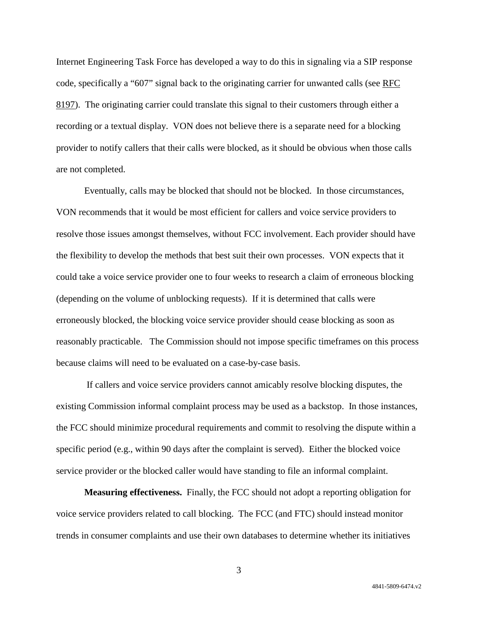Internet Engineering Task Force has developed a way to do this in signaling via a SIP response code, specifically a "607" signal back to the originating carrier for unwanted calls (see RFC 8197). The originating carrier could translate this signal to their customers through either a recording or a textual display. VON does not believe there is a separate need for a blocking provider to notify callers that their calls were blocked, as it should be obvious when those calls are not completed.

Eventually, calls may be blocked that should not be blocked. In those circumstances, VON recommends that it would be most efficient for callers and voice service providers to resolve those issues amongst themselves, without FCC involvement. Each provider should have the flexibility to develop the methods that best suit their own processes. VON expects that it could take a voice service provider one to four weeks to research a claim of erroneous blocking (depending on the volume of unblocking requests). If it is determined that calls were erroneously blocked, the blocking voice service provider should cease blocking as soon as reasonably practicable. The Commission should not impose specific timeframes on this process because claims will need to be evaluated on a case-by-case basis.

If callers and voice service providers cannot amicably resolve blocking disputes, the existing Commission informal complaint process may be used as a backstop. In those instances, the FCC should minimize procedural requirements and commit to resolving the dispute within a specific period (e.g., within 90 days after the complaint is served). Either the blocked voice service provider or the blocked caller would have standing to file an informal complaint.

**Measuring effectiveness.** Finally, the FCC should not adopt a reporting obligation for voice service providers related to call blocking. The FCC (and FTC) should instead monitor trends in consumer complaints and use their own databases to determine whether its initiatives

4841-5809-6474.v2

3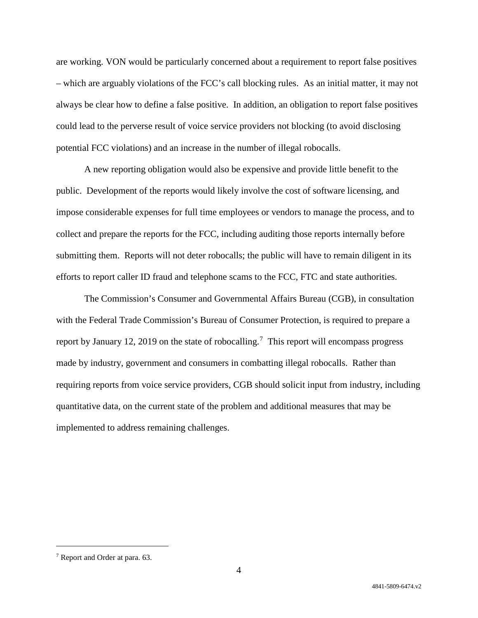are working. VON would be particularly concerned about a requirement to report false positives – which are arguably violations of the FCC's call blocking rules. As an initial matter, it may not always be clear how to define a false positive. In addition, an obligation to report false positives could lead to the perverse result of voice service providers not blocking (to avoid disclosing potential FCC violations) and an increase in the number of illegal robocalls.

A new reporting obligation would also be expensive and provide little benefit to the public. Development of the reports would likely involve the cost of software licensing, and impose considerable expenses for full time employees or vendors to manage the process, and to collect and prepare the reports for the FCC, including auditing those reports internally before submitting them. Reports will not deter robocalls; the public will have to remain diligent in its efforts to report caller ID fraud and telephone scams to the FCC, FTC and state authorities.

The Commission's Consumer and Governmental Affairs Bureau (CGB), in consultation with the Federal Trade Commission's Bureau of Consumer Protection, is required to prepare a report by January 12, 2019 on the state of robocalling.<sup>7</sup> This report will encompass progress made by industry, government and consumers in combatting illegal robocalls. Rather than requiring reports from voice service providers, CGB should solicit input from industry, including quantitative data, on the current state of the problem and additional measures that may be implemented to address remaining challenges.

 <sup>7</sup> Report and Order at para. 63.